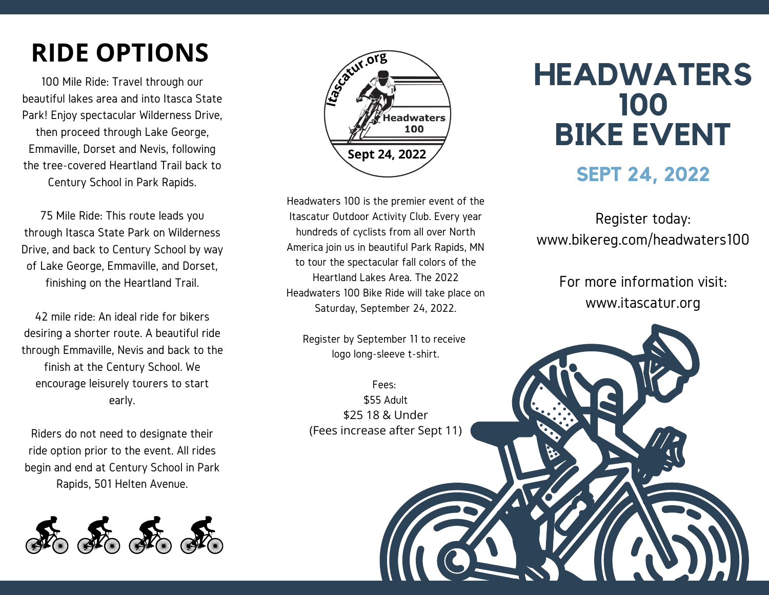# **RIDE OPTIONS**

100 Mile Ride: Travel through our beautiful lakes area and into Itasca State Park! Enjoy spectacular Wilderness Drive, then proceed through Lake George, Emmaville, Dorset and Nevis, following the tree-covered Heartland Trail back to Century School in Park Rapids.

75 Mile Ride: This route leads you through Itasca State Park on Wilderness Drive, and back to Century School by way of Lake George, Emmaville, and Dorset, finishing on the Heartland Trail.

42 mile ride: An ideal ride for bikers desiring a shorter route. A beautiful ride through Emmaville, Nevis and back to the finish at the Century School. We encourage leisurely tourers to start early.

Riders do not need to designate their ride option prior to the event. All rides begin and end at Century School in Park Rapids, 501 Helten Avenue.





Headwaters 100 is the premier event of the Itascatur Outdoor Activity Club. Every year hundreds of cyclists from all over North America join us in beautiful Park Rapids, MN to tour the spectacular fall colors of the Heartland Lakes Area. The 2022 Headwaters 100 Bike Ride will take place on Saturday, September 24, 2022.

Register by September 11 to receive logo long-sleeve t-shirt.

Fees: \$55 Adult \$25 18 & Under (Fees increase after Sept 11)

# **HEADWATERS 100 BIKE EVENT**

#### **SEPT 24, 2022**

Register today: www.bikereg.com/headwaters100

> For more information visit: www.itascatur.org